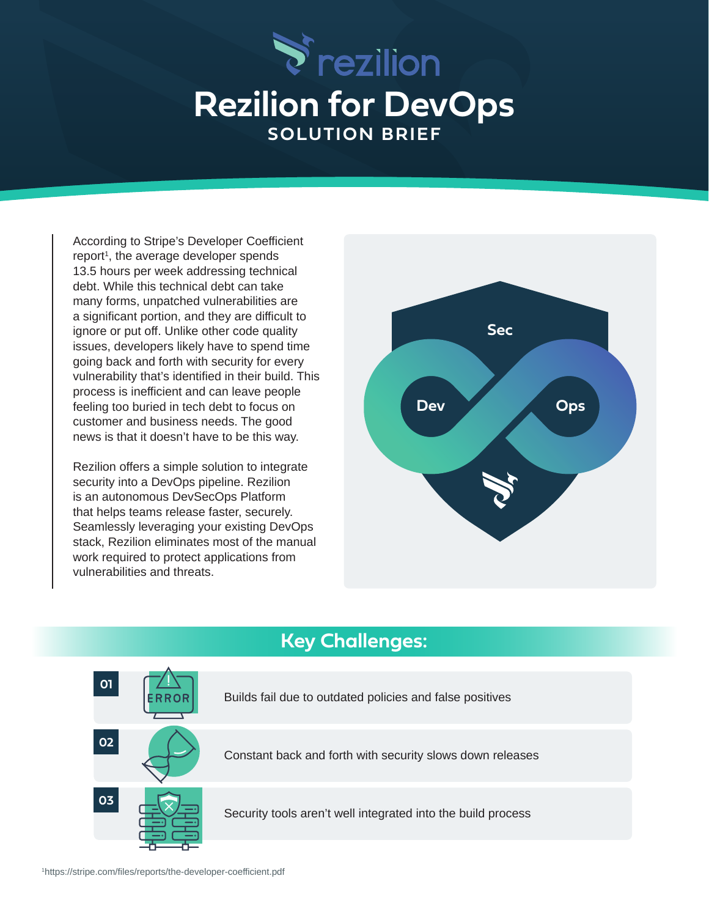

## **Rezilion for DevOps SOLUTION BRIEF**

According to Stripe's Developer Coefficient report<sup>1</sup>, the average developer spends 13.5 hours per week addressing technical debt. While this technical debt can take many forms, unpatched vulnerabilities are a significant portion, and they are difficult to ignore or put off. Unlike other code quality issues, developers likely have to spend time going back and forth with security for every vulnerability that's identified in their build. This process is inefficient and can leave people feeling too buried in tech debt to focus on customer and business needs. The good news is that it doesn't have to be this way.

Rezilion offers a simple solution to integrate security into a DevOps pipeline. Rezilion is an autonomous DevSecOps Platform that helps teams release faster, securely. Seamlessly leveraging your existing DevOps stack, Rezilion eliminates most of the manual work required to protect applications from vulnerabilities and threats.



## **Key Challenges:**